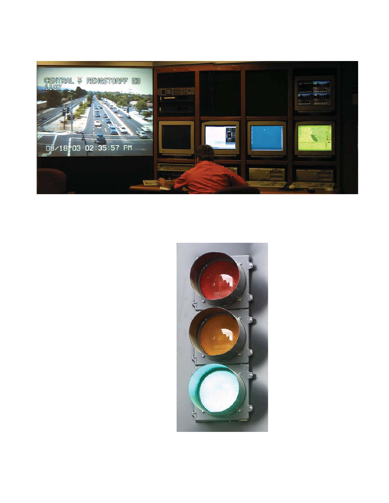

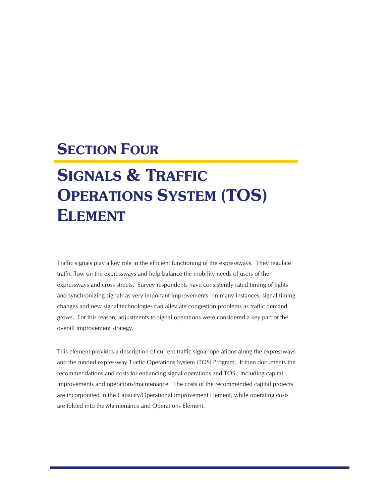# **SECTION FOUR**

# SIGNALS & TRAFFIC OPERATIONS SYSTEM (TOS) ELEMENT

Traffic signals play a key role in the efficient functioning of the expressways. They regulate traffic flow on the expressways and help balance the mobility needs of users of the expressways and cross streets. Survey respondents have consistently rated timing of lights and synchronizing signals as very important improvements. In many instances, signal timing changes and new signal technologies can alleviate congestion problems as traffic demand grows. For this reason, adjustments to signal operations were considered a key part of the overall improvement strategy.

This element provides a description of current traffic signal operations along the expressways and the funded expressway Traffic Operations System (TOS) Program. It then documents the recommendations and costs for enhancing signal operations and TOS, including capital improvements and operations/maintenance. The costs of the recommended capital projects are incorporated in the Capacity/Operational Improvement Element, while operating costs are folded into the Maintenance and Operations Element.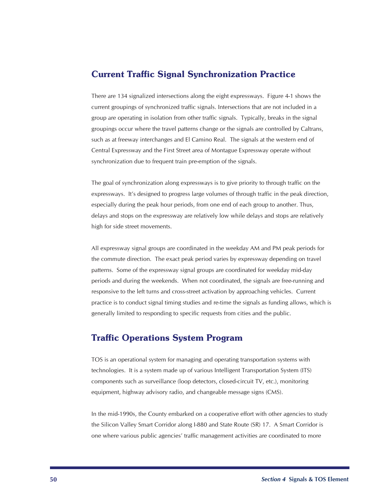## Current Traffic Signal Synchronization Practice

There are 134 signalized intersections along the eight expressways. Figure 4-1 shows the current groupings of synchronized traffic signals. Intersections that are not included in a group are operating in isolation from other traffic signals. Typically, breaks in the signal groupings occur where the travel patterns change or the signals are controlled by Caltrans, such as at freeway interchanges and El Camino Real. The signals at the western end of Central Expressway and the First Street area of Montague Expressway operate without synchronization due to frequent train pre-emption of the signals.

The goal of synchronization along expressways is to give priority to through traffic on the expressways. It's designed to progress large volumes of through traffic in the peak direction, especially during the peak hour periods, from one end of each group to another. Thus, delays and stops on the expressway are relatively low while delays and stops are relatively high for side street movements.

All expressway signal groups are coordinated in the weekday AM and PM peak periods for the commute direction. The exact peak period varies by expressway depending on travel patterns. Some of the expressway signal groups are coordinated for weekday mid-day periods and during the weekends. When not coordinated, the signals are free-running and responsive to the left turns and cross-street activation by approaching vehicles. Current practice is to conduct signal timing studies and re-time the signals as funding allows, which is generally limited to responding to specific requests from cities and the public.

### Traffic Operations System Program

TOS is an operational system for managing and operating transportation systems with technologies. It is a system made up of various Intelligent Transportation System (ITS) components such as surveillance (loop detectors, closed-circuit TV, etc.), monitoring equipment, highway advisory radio, and changeable message signs (CMS).

In the mid-1990s, the County embarked on a cooperative effort with other agencies to study the Silicon Valley Smart Corridor along I-880 and State Route (SR) 17. A Smart Corridor is one where various public agencies' traffic management activities are coordinated to more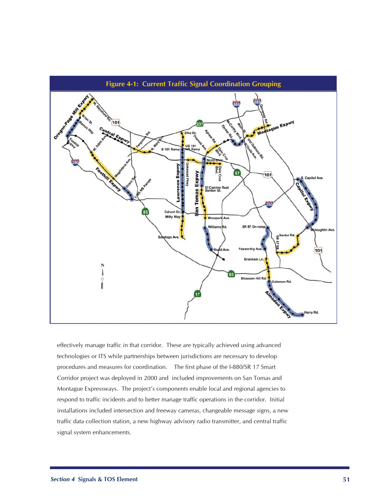

effectively manage traffic in that corridor. These are typically achieved using advanced technologies or ITS while partnerships between jurisdictions are necessary to develop procedures and measures for coordination. The first phase of the I-880/SR 17 Smart Corridor project was deployed in 2000 and included improvements on San Tomas and Montague Expressways. The project's components enable local and regional agencies to respond to traffic incidents and to better manage traffic operations in the corridor. Initial installations included intersection and freeway cameras, changeable message signs, a new traffic data collection station, a new highway advisory radio transmitter, and central traffic signal system enhancements.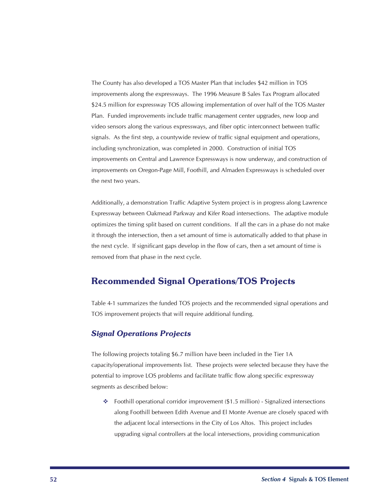The County has also developed a TOS Master Plan that includes \$42 million in TOS improvements along the expressways. The 1996 Measure B Sales Tax Program allocated \$24.5 million for expressway TOS allowing implementation of over half of the TOS Master Plan. Funded improvements include traffic management center upgrades, new loop and video sensors along the various expressways, and fiber optic interconnect between traffic signals. As the first step, a countywide review of traffic signal equipment and operations, including synchronization, was completed in 2000. Construction of initial TOS improvements on Central and Lawrence Expressways is now underway, and construction of improvements on Oregon-Page Mill, Foothill, and Almaden Expressways is scheduled over the next two years.

Additionally, a demonstration Traffic Adaptive System project is in progress along Lawrence Expressway between Oakmead Parkway and Kifer Road intersections. The adaptive module optimizes the timing split based on current conditions. If all the cars in a phase do not make it through the intersection, then a set amount of time is automatically added to that phase in the next cycle. If significant gaps develop in the flow of cars, then a set amount of time is removed from that phase in the next cycle.

### Recommended Signal Operations/TOS Projects

Table 4-1 summarizes the funded TOS projects and the recommended signal operations and TOS improvement projects that will require additional funding.

#### *Signal Operations Projects*

The following projects totaling \$6.7 million have been included in the Tier 1A capacity/operational improvements list. These projects were selected because they have the potential to improve LOS problems and facilitate traffic flow along specific expressway segments as described below:

Foothill operational corridor improvement (\$1.5 million) - Signalized intersections along Foothill between Edith Avenue and El Monte Avenue are closely spaced with the adjacent local intersections in the City of Los Altos. This project includes upgrading signal controllers at the local intersections, providing communication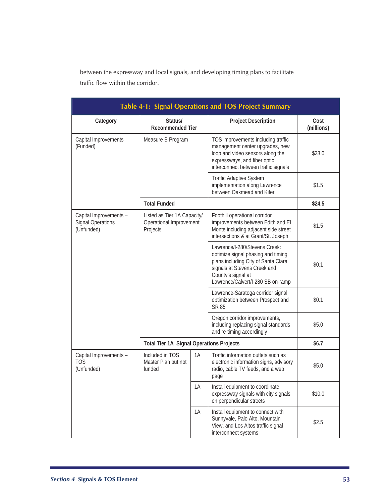between the expressway and local signals, and developing timing plans to facilitate traffic flow within the corridor.

| Table 4-1: Signal Operations and TOS Project Summary             |                                                                    |    |                                                                                                                                                                                                       |                    |  |  |  |
|------------------------------------------------------------------|--------------------------------------------------------------------|----|-------------------------------------------------------------------------------------------------------------------------------------------------------------------------------------------------------|--------------------|--|--|--|
| Category                                                         | Status/<br><b>Recommended Tier</b>                                 |    | <b>Project Description</b>                                                                                                                                                                            | Cost<br>(millions) |  |  |  |
| Capital Improvements<br>(Funded)                                 | Measure B Program                                                  |    | TOS improvements including traffic<br>management center upgrades, new<br>loop and video sensors along the<br>expressways, and fiber optic<br>interconnect between traffic signals                     | \$23.0             |  |  |  |
|                                                                  |                                                                    |    | Traffic Adaptive System<br>implementation along Lawrence<br>between Oakmead and Kifer                                                                                                                 | \$1.5              |  |  |  |
|                                                                  | <b>Total Funded</b>                                                |    |                                                                                                                                                                                                       | \$24.5             |  |  |  |
| Capital Improvements -<br><b>Signal Operations</b><br>(Unfunded) | Listed as Tier 1A Capacity/<br>Operational Improvement<br>Projects |    | Foothill operational corridor<br>improvements between Edith and El<br>Monte including adjacent side street<br>intersections & at Grant/St. Joseph                                                     | \$1.5              |  |  |  |
|                                                                  |                                                                    |    | Lawrence/I-280/Stevens Creek:<br>optimize signal phasing and timing<br>plans including City of Santa Clara<br>signals at Stevens Creek and<br>County's signal at<br>Lawrence/Calvert/I-280 SB on-ramp | \$0.1              |  |  |  |
|                                                                  |                                                                    |    | Lawrence-Saratoga corridor signal<br>optimization between Prospect and<br><b>SR 85</b>                                                                                                                | \$0.1              |  |  |  |
|                                                                  |                                                                    |    | Oregon corridor improvements,<br>including replacing signal standards<br>and re-timing accordingly                                                                                                    | \$5.0              |  |  |  |
|                                                                  | <b>Total Tier 1A Signal Operations Projects</b>                    |    |                                                                                                                                                                                                       | \$6.7              |  |  |  |
| Capital Improvements -<br><b>TOS</b><br>(Unfunded)               | Included in TOS<br>Master Plan but not<br>funded                   | 1A | Traffic information outlets such as<br>electronic information signs, advisory<br>radio, cable TV feeds, and a web<br>page                                                                             | \$5.0              |  |  |  |
|                                                                  |                                                                    | 1A | Install equipment to coordinate<br>expressway signals with city signals<br>on perpendicular streets                                                                                                   | \$10.0             |  |  |  |
|                                                                  |                                                                    | 1A | Install equipment to connect with<br>Sunnyvale, Palo Alto, Mountain<br>View, and Los Altos traffic signal<br>interconnect systems                                                                     | \$2.5              |  |  |  |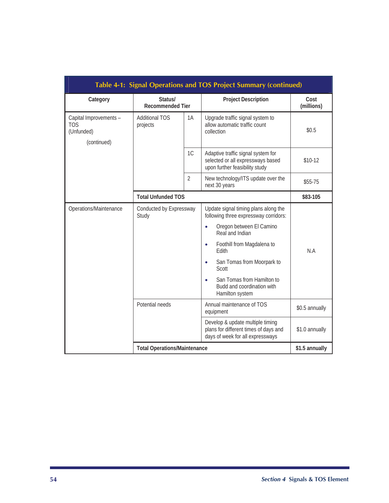| Table 4-1: Signal Operations and TOS Project Summary (continued)  |                                     |                |                                                                                                                                                                                                                                                                                                                                               |                    |  |  |  |
|-------------------------------------------------------------------|-------------------------------------|----------------|-----------------------------------------------------------------------------------------------------------------------------------------------------------------------------------------------------------------------------------------------------------------------------------------------------------------------------------------------|--------------------|--|--|--|
| Category                                                          | Status/<br><b>Recommended Tier</b>  |                | <b>Project Description</b>                                                                                                                                                                                                                                                                                                                    | Cost<br>(millions) |  |  |  |
| Capital Improvements -<br><b>TOS</b><br>(Unfunded)<br>(continued) | <b>Additional TOS</b><br>projects   | 1A             | Upgrade traffic signal system to<br>allow automatic traffic count<br>collection                                                                                                                                                                                                                                                               | \$0.5              |  |  |  |
|                                                                   |                                     | 1C             | Adaptive traffic signal system for<br>selected or all expressways based<br>upon further feasibility study                                                                                                                                                                                                                                     | \$10-12            |  |  |  |
|                                                                   |                                     | $\overline{2}$ | New technology/ITS update over the<br>next 30 years                                                                                                                                                                                                                                                                                           | \$55-75            |  |  |  |
|                                                                   | <b>Total Unfunded TOS</b>           | \$83-105       |                                                                                                                                                                                                                                                                                                                                               |                    |  |  |  |
| Operations/Maintenance                                            | Conducted by Expressway<br>Study    |                | Update signal timing plans along the<br>following three expressway corridors:<br>Oregon between El Camino<br>$\bullet$<br>Real and Indian<br>Foothill from Magdalena to<br>$\bullet$<br>Edith<br>San Tomas from Moorpark to<br>$\bullet$<br>Scott<br>San Tomas from Hamilton to<br>$\bullet$<br>Budd and coordination with<br>Hamilton system | N.A                |  |  |  |
|                                                                   | Potential needs                     |                | Annual maintenance of TOS<br>equipment                                                                                                                                                                                                                                                                                                        | \$0.5 annually     |  |  |  |
|                                                                   |                                     |                | Develop & update multiple timing<br>plans for different times of days and<br>days of week for all expressways                                                                                                                                                                                                                                 | \$1.0 annually     |  |  |  |
|                                                                   | <b>Total Operations/Maintenance</b> |                |                                                                                                                                                                                                                                                                                                                                               | \$1.5 annually     |  |  |  |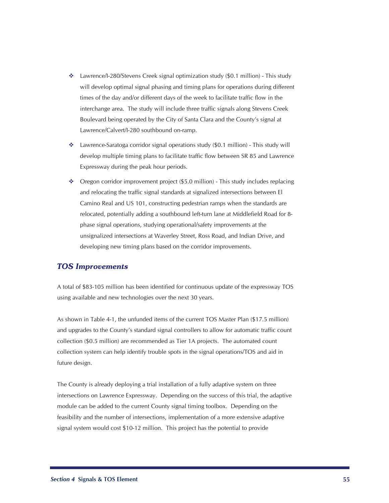- Lawrence/I-280/Stevens Creek signal optimization study (\$0.1 million) This study will develop optimal signal phasing and timing plans for operations during different times of the day and/or different days of the week to facilitate traffic flow in the interchange area. The study will include three traffic signals along Stevens Creek Boulevard being operated by the City of Santa Clara and the County's signal at Lawrence/Calvert/I-280 southbound on-ramp.
- Lawrence-Saratoga corridor signal operations study (\$0.1 million) This study will develop multiple timing plans to facilitate traffic flow between SR 85 and Lawrence Expressway during the peak hour periods.
- $\bullet$  Oregon corridor improvement project (\$5.0 million) This study includes replacing and relocating the traffic signal standards at signalized intersections between El Camino Real and US 101, constructing pedestrian ramps when the standards are relocated, potentially adding a southbound left-turn lane at Middlefield Road for 8 phase signal operations, studying operational/safety improvements at the unsignalized intersections at Waverley Street, Ross Road, and Indian Drive, and developing new timing plans based on the corridor improvements.

#### *TOS Improvements*

A total of \$83-105 million has been identified for continuous update of the expressway TOS using available and new technologies over the next 30 years.

As shown in Table 4-1, the unfunded items of the current TOS Master Plan (\$17.5 million) and upgrades to the County's standard signal controllers to allow for automatic traffic count collection (\$0.5 million) are recommended as Tier 1A projects. The automated count collection system can help identify trouble spots in the signal operations/TOS and aid in future design.

The County is already deploying a trial installation of a fully adaptive system on three intersections on Lawrence Expressway. Depending on the success of this trial, the adaptive module can be added to the current County signal timing toolbox. Depending on the feasibility and the number of intersections, implementation of a more extensive adaptive signal system would cost \$10-12 million. This project has the potential to provide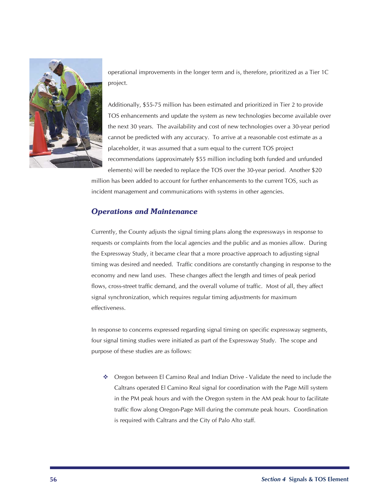

operational improvements in the longer term and is, therefore, prioritized as a Tier 1C project.

Additionally, \$55-75 million has been estimated and prioritized in Tier 2 to provide TOS enhancements and update the system as new technologies become available over the next 30 years. The availability and cost of new technologies over a 30-year period cannot be predicted with any accuracy. To arrive at a reasonable cost estimate as a placeholder, it was assumed that a sum equal to the current TOS project recommendations (approximately \$55 million including both funded and unfunded elements) will be needed to replace the TOS over the 30-year period. Another \$20

million has been added to account for further enhancements to the current TOS, such as incident management and communications with systems in other agencies.

#### *Operations and Maintenance*

Currently, the County adjusts the signal timing plans along the expressways in response to requests or complaints from the local agencies and the public and as monies allow. During the Expressway Study, it became clear that a more proactive approach to adjusting signal timing was desired and needed. Traffic conditions are constantly changing in response to the economy and new land uses. These changes affect the length and times of peak period flows, cross-street traffic demand, and the overall volume of traffic. Most of all, they affect signal synchronization, which requires regular timing adjustments for maximum effectiveness.

In response to concerns expressed regarding signal timing on specific expressway segments, four signal timing studies were initiated as part of the Expressway Study. The scope and purpose of these studies are as follows:

Oregon between El Camino Real and Indian Drive - Validate the need to include the Caltrans operated El Camino Real signal for coordination with the Page Mill system in the PM peak hours and with the Oregon system in the AM peak hour to facilitate traffic flow along Oregon-Page Mill during the commute peak hours. Coordination is required with Caltrans and the City of Palo Alto staff.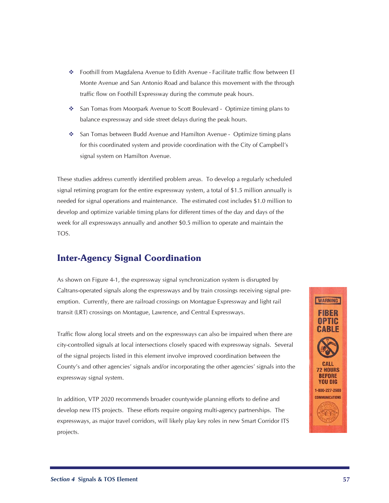- Foothill from Magdalena Avenue to Edith Avenue Facilitate traffic flow between El Monte Avenue and San Antonio Road and balance this movement with the through traffic flow on Foothill Expressway during the commute peak hours.
- San Tomas from Moorpark Avenue to Scott Boulevard Optimize timing plans to balance expressway and side street delays during the peak hours.
- San Tomas between Budd Avenue and Hamilton Avenue Optimize timing plans for this coordinated system and provide coordination with the City of Campbell's signal system on Hamilton Avenue.

These studies address currently identified problem areas. To develop a regularly scheduled signal retiming program for the entire expressway system, a total of \$1.5 million annually is needed for signal operations and maintenance. The estimated cost includes \$1.0 million to develop and optimize variable timing plans for different times of the day and days of the week for all expressways annually and another \$0.5 million to operate and maintain the TOS.

# Inter-Agency Signal Coordination

As shown on Figure 4-1, the expressway signal synchronization system is disrupted by Caltrans-operated signals along the expressways and by train crossings receiving signal preemption. Currently, there are railroad crossings on Montague Expressway and light rail transit (LRT) crossings on Montague, Lawrence, and Central Expressways.

Traffic flow along local streets and on the expressways can also be impaired when there are city-controlled signals at local intersections closely spaced with expressway signals. Several of the signal projects listed in this element involve improved coordination between the County's and other agencies' signals and/or incorporating the other agencies' signals into the expressway signal system.

In addition, VTP 2020 recommends broader countywide planning efforts to define and develop new ITS projects. These efforts require ongoing multi-agency partnerships. The expressways, as major travel corridors, will likely play key roles in new Smart Corridor ITS projects.

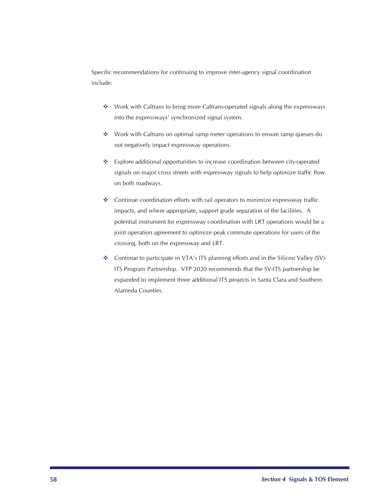Specific recommendations for continuing to improve inter-agency signal coordination include:

- Work with Caltrans to bring more Caltrans-operated signals along the expressways into the expressways' synchronized signal system.
- \* Work with Caltrans on optimal ramp meter operations to ensure ramp queues do not negatively impact expressway operations.
- Explore additional opportunities to increase coordination between city-operated signals on major cross streets with expressway signals to help optimize traffic flow on both roadways.
- Continue coordination efforts with rail operators to minimize expressway traffic impacts, and where appropriate, support grade separation of the facilities. A potential instrument for expressway coordination with LRT operations would be a joint operation agreement to optimize peak commute operations for users of the crossing, both on the expressway and LRT.
- Continue to participate in VTA's ITS planning efforts and in the Silicon Valley (SV)- ITS Program Partnership. VTP 2020 recommends that the SV-ITS partnership be expanded to implement three additional ITS projects in Santa Clara and Southern Alameda Counties.